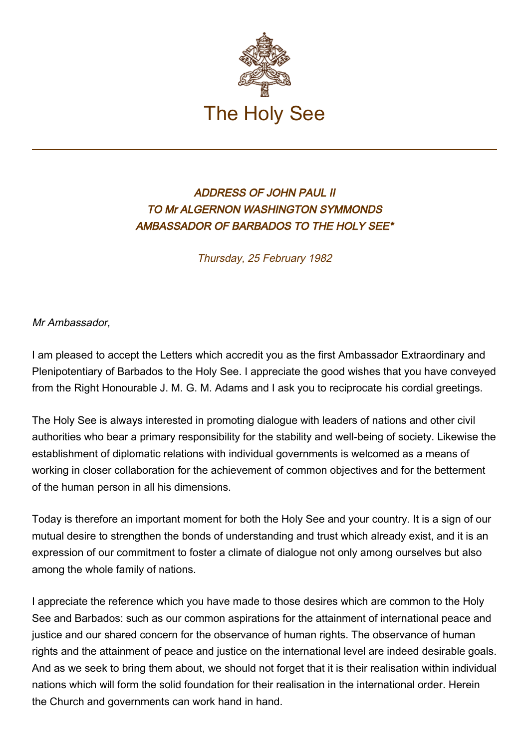

## ADDRESS OF JOHN PAUL II TO Mr ALGERNON WASHINGTON SYMMONDS AMBASSADOR OF BARBADOS TO THE HOLY SEE\*

Thursday, 25 February 1982

Mr Ambassador,

I am pleased to accept the Letters which accredit you as the first Ambassador Extraordinary and Plenipotentiary of Barbados to the Holy See. I appreciate the good wishes that you have conveyed from the Right Honourable J. M. G. M. Adams and I ask you to reciprocate his cordial greetings.

The Holy See is always interested in promoting dialogue with leaders of nations and other civil authorities who bear a primary responsibility for the stability and well-being of society. Likewise the establishment of diplomatic relations with individual governments is welcomed as a means of working in closer collaboration for the achievement of common objectives and for the betterment of the human person in all his dimensions.

Today is therefore an important moment for both the Holy See and your country. It is a sign of our mutual desire to strengthen the bonds of understanding and trust which already exist, and it is an expression of our commitment to foster a climate of dialogue not only among ourselves but also among the whole family of nations.

I appreciate the reference which you have made to those desires which are common to the Holy See and Barbados: such as our common aspirations for the attainment of international peace and justice and our shared concern for the observance of human rights. The observance of human rights and the attainment of peace and justice on the international level are indeed desirable goals. And as we seek to bring them about, we should not forget that it is their realisation within individual nations which will form the solid foundation for their realisation in the international order. Herein the Church and governments can work hand in hand.